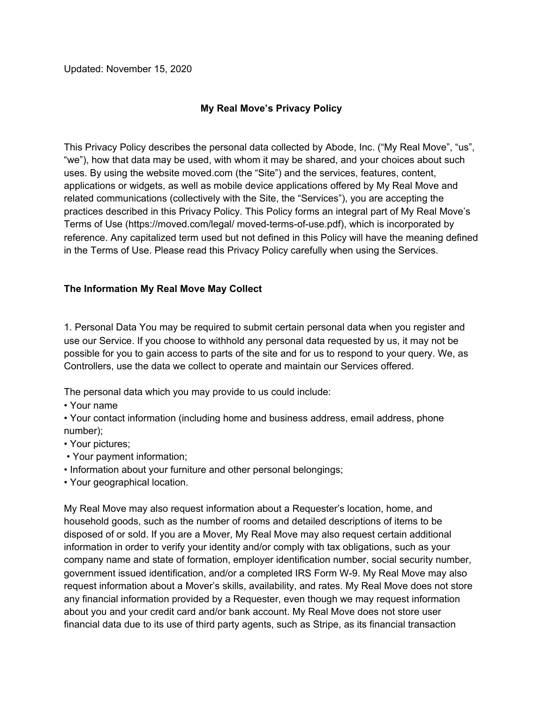Updated: November 15, 2020

# **My Real Move's Privacy Policy**

This Privacy Policy describes the personal data collected by Abode, Inc. ("My Real Move", "us", "we"), how that data may be used, with whom it may be shared, and your choices about such uses. By using the website moved.com (the "Site") and the services, features, content, applications or widgets, as well as mobile device applications offered by My Real Move and related communications (collectively with the Site, the "Services"), you are accepting the practices described in this Privacy Policy. This Policy forms an integral part of My Real Move's Terms of Use (https://moved.com/legal/ moved-terms-of-use.pdf), which is incorporated by reference. Any capitalized term used but not defined in this Policy will have the meaning defined in the Terms of Use. Please read this Privacy Policy carefully when using the Services.

## **The Information My Real Move May Collect**

1. Personal Data You may be required to submit certain personal data when you register and use our Service. If you choose to withhold any personal data requested by us, it may not be possible for you to gain access to parts of the site and for us to respond to your query. We, as Controllers, use the data we collect to operate and maintain our Services offered.

The personal data which you may provide to us could include:

- Your name
- Your contact information (including home and business address, email address, phone number);
- Your pictures;
- Your payment information;
- Information about your furniture and other personal belongings;
- Your geographical location.

My Real Move may also request information about a Requester's location, home, and household goods, such as the number of rooms and detailed descriptions of items to be disposed of or sold. If you are a Mover, My Real Move may also request certain additional information in order to verify your identity and/or comply with tax obligations, such as your company name and state of formation, employer identification number, social security number, government issued identification, and/or a completed IRS Form W-9. My Real Move may also request information about a Mover's skills, availability, and rates. My Real Move does not store any financial information provided by a Requester, even though we may request information about you and your credit card and/or bank account. My Real Move does not store user financial data due to its use of third party agents, such as Stripe, as its financial transaction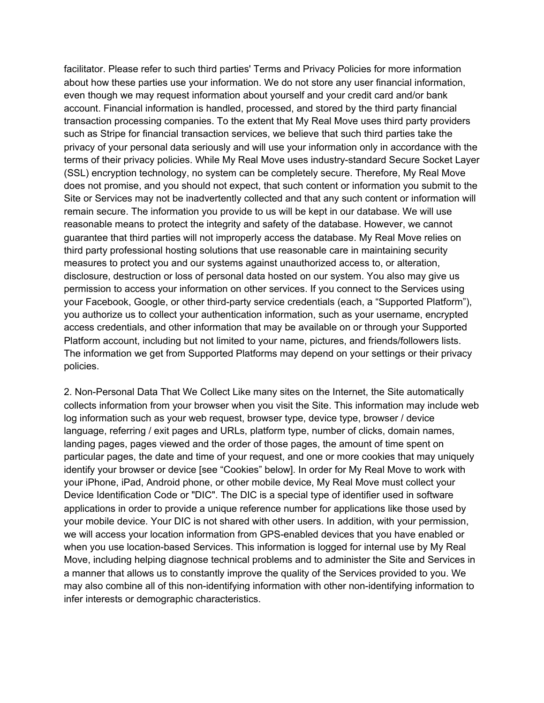facilitator. Please refer to such third parties' Terms and Privacy Policies for more information about how these parties use your information. We do not store any user financial information, even though we may request information about yourself and your credit card and/or bank account. Financial information is handled, processed, and stored by the third party financial transaction processing companies. To the extent that My Real Move uses third party providers such as Stripe for financial transaction services, we believe that such third parties take the privacy of your personal data seriously and will use your information only in accordance with the terms of their privacy policies. While My Real Move uses industry-standard Secure Socket Layer (SSL) encryption technology, no system can be completely secure. Therefore, My Real Move does not promise, and you should not expect, that such content or information you submit to the Site or Services may not be inadvertently collected and that any such content or information will remain secure. The information you provide to us will be kept in our database. We will use reasonable means to protect the integrity and safety of the database. However, we cannot guarantee that third parties will not improperly access the database. My Real Move relies on third party professional hosting solutions that use reasonable care in maintaining security measures to protect you and our systems against unauthorized access to, or alteration, disclosure, destruction or loss of personal data hosted on our system. You also may give us permission to access your information on other services. If you connect to the Services using your Facebook, Google, or other third-party service credentials (each, a "Supported Platform"), you authorize us to collect your authentication information, such as your username, encrypted access credentials, and other information that may be available on or through your Supported Platform account, including but not limited to your name, pictures, and friends/followers lists. The information we get from Supported Platforms may depend on your settings or their privacy policies.

2. Non-Personal Data That We Collect Like many sites on the Internet, the Site automatically collects information from your browser when you visit the Site. This information may include web log information such as your web request, browser type, device type, browser / device language, referring / exit pages and URLs, platform type, number of clicks, domain names, landing pages, pages viewed and the order of those pages, the amount of time spent on particular pages, the date and time of your request, and one or more cookies that may uniquely identify your browser or device [see "Cookies" below]. In order for My Real Move to work with your iPhone, iPad, Android phone, or other mobile device, My Real Move must collect your Device Identification Code or "DIC". The DIC is a special type of identifier used in software applications in order to provide a unique reference number for applications like those used by your mobile device. Your DIC is not shared with other users. In addition, with your permission, we will access your location information from GPS-enabled devices that you have enabled or when you use location-based Services. This information is logged for internal use by My Real Move, including helping diagnose technical problems and to administer the Site and Services in a manner that allows us to constantly improve the quality of the Services provided to you. We may also combine all of this non-identifying information with other non-identifying information to infer interests or demographic characteristics.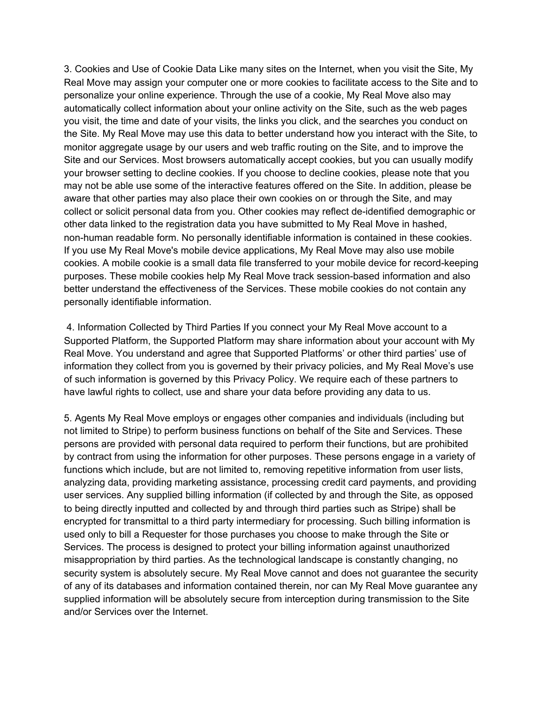3. Cookies and Use of Cookie Data Like many sites on the Internet, when you visit the Site, My Real Move may assign your computer one or more cookies to facilitate access to the Site and to personalize your online experience. Through the use of a cookie, My Real Move also may automatically collect information about your online activity on the Site, such as the web pages you visit, the time and date of your visits, the links you click, and the searches you conduct on the Site. My Real Move may use this data to better understand how you interact with the Site, to monitor aggregate usage by our users and web traffic routing on the Site, and to improve the Site and our Services. Most browsers automatically accept cookies, but you can usually modify your browser setting to decline cookies. If you choose to decline cookies, please note that you may not be able use some of the interactive features offered on the Site. In addition, please be aware that other parties may also place their own cookies on or through the Site, and may collect or solicit personal data from you. Other cookies may reflect de-identified demographic or other data linked to the registration data you have submitted to My Real Move in hashed, non-human readable form. No personally identifiable information is contained in these cookies. If you use My Real Move's mobile device applications, My Real Move may also use mobile cookies. A mobile cookie is a small data file transferred to your mobile device for record-keeping purposes. These mobile cookies help My Real Move track session-based information and also better understand the effectiveness of the Services. These mobile cookies do not contain any personally identifiable information.

4. Information Collected by Third Parties If you connect your My Real Move account to a Supported Platform, the Supported Platform may share information about your account with My Real Move. You understand and agree that Supported Platforms' or other third parties' use of information they collect from you is governed by their privacy policies, and My Real Move's use of such information is governed by this Privacy Policy. We require each of these partners to have lawful rights to collect, use and share your data before providing any data to us.

5. Agents My Real Move employs or engages other companies and individuals (including but not limited to Stripe) to perform business functions on behalf of the Site and Services. These persons are provided with personal data required to perform their functions, but are prohibited by contract from using the information for other purposes. These persons engage in a variety of functions which include, but are not limited to, removing repetitive information from user lists, analyzing data, providing marketing assistance, processing credit card payments, and providing user services. Any supplied billing information (if collected by and through the Site, as opposed to being directly inputted and collected by and through third parties such as Stripe) shall be encrypted for transmittal to a third party intermediary for processing. Such billing information is used only to bill a Requester for those purchases you choose to make through the Site or Services. The process is designed to protect your billing information against unauthorized misappropriation by third parties. As the technological landscape is constantly changing, no security system is absolutely secure. My Real Move cannot and does not guarantee the security of any of its databases and information contained therein, nor can My Real Move guarantee any supplied information will be absolutely secure from interception during transmission to the Site and/or Services over the Internet.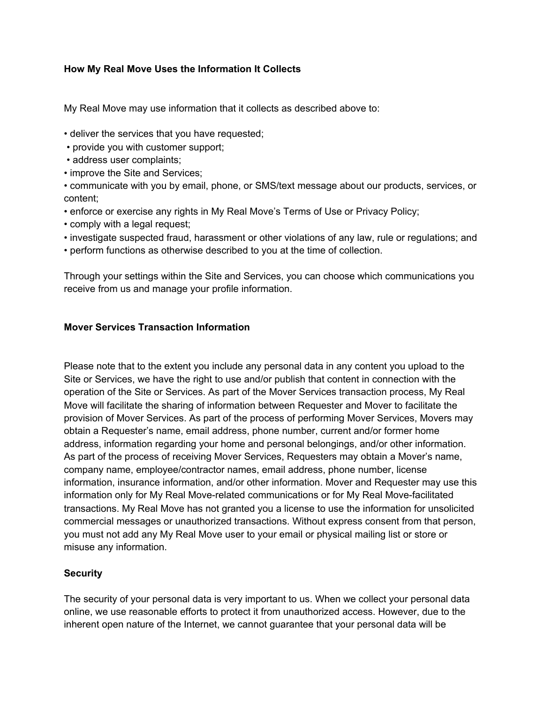# **How My Real Move Uses the Information It Collects**

My Real Move may use information that it collects as described above to:

- deliver the services that you have requested;
- provide you with customer support;
- address user complaints;
- improve the Site and Services;

• communicate with you by email, phone, or SMS/text message about our products, services, or content;

- enforce or exercise any rights in My Real Move's Terms of Use or Privacy Policy;
- comply with a legal request;
- investigate suspected fraud, harassment or other violations of any law, rule or regulations; and
- perform functions as otherwise described to you at the time of collection.

Through your settings within the Site and Services, you can choose which communications you receive from us and manage your profile information.

## **Mover Services Transaction Information**

Please note that to the extent you include any personal data in any content you upload to the Site or Services, we have the right to use and/or publish that content in connection with the operation of the Site or Services. As part of the Mover Services transaction process, My Real Move will facilitate the sharing of information between Requester and Mover to facilitate the provision of Mover Services. As part of the process of performing Mover Services, Movers may obtain a Requester's name, email address, phone number, current and/or former home address, information regarding your home and personal belongings, and/or other information. As part of the process of receiving Mover Services, Requesters may obtain a Mover's name, company name, employee/contractor names, email address, phone number, license information, insurance information, and/or other information. Mover and Requester may use this information only for My Real Move-related communications or for My Real Move-facilitated transactions. My Real Move has not granted you a license to use the information for unsolicited commercial messages or unauthorized transactions. Without express consent from that person, you must not add any My Real Move user to your email or physical mailing list or store or misuse any information.

## **Security**

The security of your personal data is very important to us. When we collect your personal data online, we use reasonable efforts to protect it from unauthorized access. However, due to the inherent open nature of the Internet, we cannot guarantee that your personal data will be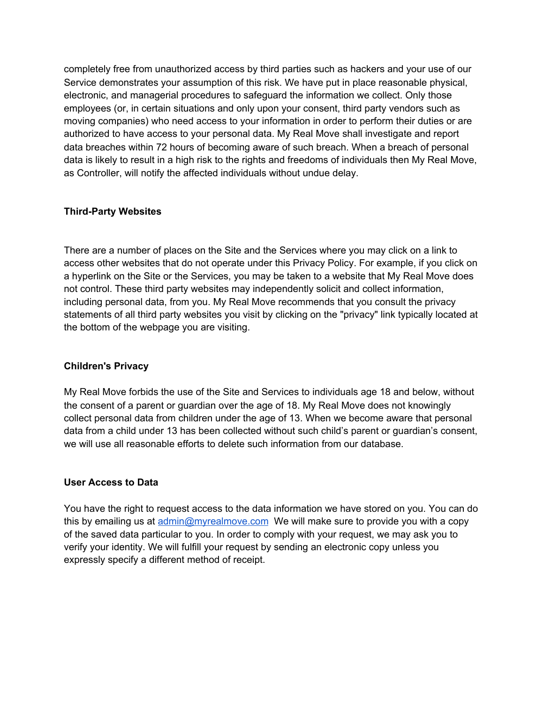completely free from unauthorized access by third parties such as hackers and your use of our Service demonstrates your assumption of this risk. We have put in place reasonable physical, electronic, and managerial procedures to safeguard the information we collect. Only those employees (or, in certain situations and only upon your consent, third party vendors such as moving companies) who need access to your information in order to perform their duties or are authorized to have access to your personal data. My Real Move shall investigate and report data breaches within 72 hours of becoming aware of such breach. When a breach of personal data is likely to result in a high risk to the rights and freedoms of individuals then My Real Move, as Controller, will notify the affected individuals without undue delay.

## **Third-Party Websites**

There are a number of places on the Site and the Services where you may click on a link to access other websites that do not operate under this Privacy Policy. For example, if you click on a hyperlink on the Site or the Services, you may be taken to a website that My Real Move does not control. These third party websites may independently solicit and collect information, including personal data, from you. My Real Move recommends that you consult the privacy statements of all third party websites you visit by clicking on the "privacy" link typically located at the bottom of the webpage you are visiting.

## **Children's Privacy**

My Real Move forbids the use of the Site and Services to individuals age 18 and below, without the consent of a parent or guardian over the age of 18. My Real Move does not knowingly collect personal data from children under the age of 13. When we become aware that personal data from a child under 13 has been collected without such child's parent or guardian's consent, we will use all reasonable efforts to delete such information from our database.

## **User Access to Data**

You have the right to request access to the data information we have stored on you. You can do this by emailing us at [admin@myrealmove.com](mailto:admin@myrealmove.com) We will make sure to provide you with a copy of the saved data particular to you. In order to comply with your request, we may ask you to verify your identity. We will fulfill your request by sending an electronic copy unless you expressly specify a different method of receipt.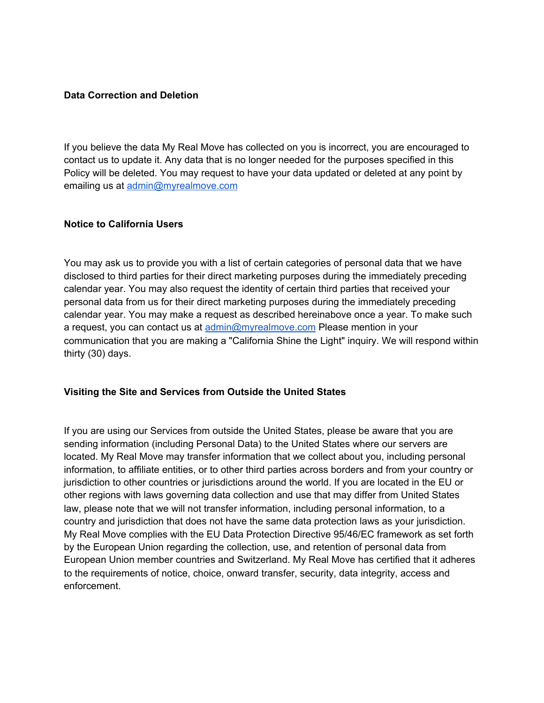#### **Data Correction and Deletion**

If you believe the data My Real Move has collected on you is incorrect, you are encouraged to contact us to update it. Any data that is no longer needed for the purposes specified in this Policy will be deleted. You may request to have your data updated or deleted at any point by emailing us at [admin@myrealmove.com](mailto:admin@myrealmove.com)

#### **Notice to California Users**

You may ask us to provide you with a list of certain categories of personal data that we have disclosed to third parties for their direct marketing purposes during the immediately preceding calendar year. You may also request the identity of certain third parties that received your personal data from us for their direct marketing purposes during the immediately preceding calendar year. You may make a request as described hereinabove once a year. To make such a request, you can contact us at [admin@myrealmove.com](mailto:admin@myrealmove.com) Please mention in your communication that you are making a "California Shine the Light" inquiry. We will respond within thirty (30) days.

#### **Visiting the Site and Services from Outside the United States**

If you are using our Services from outside the United States, please be aware that you are sending information (including Personal Data) to the United States where our servers are located. My Real Move may transfer information that we collect about you, including personal information, to affiliate entities, or to other third parties across borders and from your country or jurisdiction to other countries or jurisdictions around the world. If you are located in the EU or other regions with laws governing data collection and use that may differ from United States law, please note that we will not transfer information, including personal information, to a country and jurisdiction that does not have the same data protection laws as your jurisdiction. My Real Move complies with the EU Data Protection Directive 95/46/EC framework as set forth by the European Union regarding the collection, use, and retention of personal data from European Union member countries and Switzerland. My Real Move has certified that it adheres to the requirements of notice, choice, onward transfer, security, data integrity, access and enforcement.